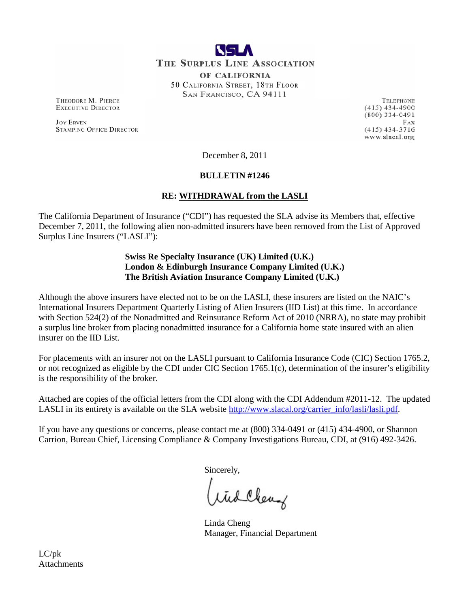

**THE SURPLUS LINE ASSOCIATION** 

OF CALIFORNIA 50 CALIFORNIA STREET, 18TH FLOOR SAN FRANCISCO, CA 94111

THEODORE M. PIERCE **EXECUTIVE DIRECTOR** 

**JOY ERVEN STAMPING OFFICE DIRECTOR** 

TELEPHONE  $(415)$  434-4900  $(800)$  334-0491 FAX  $(415)$  434-3716 www.slacal.org

December 8, 2011

# **BULLETIN #1246**

# **RE: WITHDRAWAL from the LASLI**

The California Department of Insurance ("CDI") has requested the SLA advise its Members that, effective December 7, 2011, the following alien non-admitted insurers have been removed from the List of Approved Surplus Line Insurers ("LASLI"):

# **Swiss Re Specialty Insurance (UK) Limited (U.K.) London & Edinburgh Insurance Company Limited (U.K.) The British Aviation Insurance Company Limited (U.K.)**

Although the above insurers have elected not to be on the LASLI, these insurers are listed on the NAIC's International Insurers Department Quarterly Listing of Alien Insurers (IID List) at this time. In accordance with Section 524(2) of the Nonadmitted and Reinsurance Reform Act of 2010 (NRRA), no state may prohibit a surplus line broker from placing nonadmitted insurance for a California home state insured with an alien insurer on the IID List.

For placements with an insurer not on the LASLI pursuant to California Insurance Code (CIC) Section 1765.2, or not recognized as eligible by the CDI under CIC Section 1765.1(c), determination of the insurer's eligibility is the responsibility of the broker.

Attached are copies of the official letters from the CDI along with the CDI Addendum #2011-12. The updated LASLI in its entirety is available on the SLA website [http://www.slacal.org/carrier\\_info/lasli/lasli.pdf.](http://www.slacal.org/carrier_info/lasli/lasli.pdf)

If you have any questions or concerns, please contact me at (800) 334-0491 or (415) 434-4900, or Shannon Carrion, Bureau Chief, Licensing Compliance & Company Investigations Bureau, CDI, at (916) 492-3426.

Sincerely,

Wid Clear

Linda Cheng Manager, Financial Department

LC/pk **Attachments**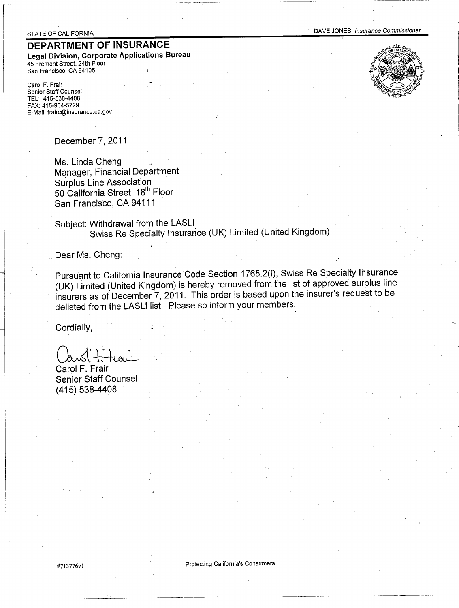#### STATE OF CALIFORNIA

# DEPARTMENT OF INSURANCE

Legal Division, Corporate Applications Bureau 45 Fremont Street, 24th Floor San Francisco, CA 94105

Carol F. Frair Senior Staff Counsel TEL: 415-538-4408 FAX: 415-904-5729 E-Mail: frairc@insurance.ca.gov

December 7, 2011

Ms. Linda Cheng Manager, Financial Department **Surplus Line Association** 50 California Street, 18th Floor San Francisco, CA 94111

Subject: Withdrawal from the LASLI Swiss Re Specialty Insurance (UK) Limited (United Kingdom)

Dear Ms. Cheng:

Pursuant to California Insurance Code Section 1765.2(f), Swiss Re Specialty Insurance (UK) Limited (United Kingdom) is hereby removed from the list of approved surplus line insurers as of December 7, 2011. This order is based upon the insurer's request to be delisted from the LASLI list. Please so inform your members.

Cordially,

Carol F. Frair **Senior Staff Counsel**  $(415) 538 - 4408$ 



**Protecting California's Consumers** 

#713776v1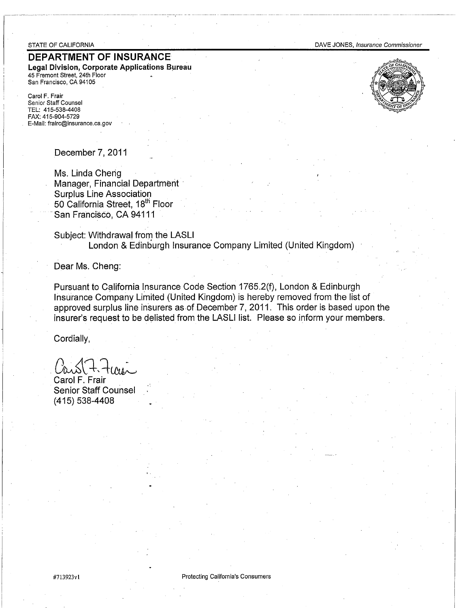#### STATE OF CALIFORNIA

# DEPARTMENT OF INSURANCE

Legal Division, Corporate Applications Bureau 45 Fremont Street, 24th Floor San Francisco, CA 94105

Carol F. Frair Senior Staff Counsel TEL: 415-538-4408 FAX: 415-904-5729 E-Mail: frairc@insurance.ca.gov





December 7, 2011

Ms. Linda Cheng Manager, Financial Department **Surplus Line Association** 50 California Street, 18th Floor San Francisco, CA 94111

Subject: Withdrawal from the LASLI London & Edinburgh Insurance Company Limited (United Kingdom)

Dear Ms. Cheng:

Pursuant to California Insurance Code Section 1765.2(f), London & Edinburgh Insurance Company Limited (United Kingdom) is hereby removed from the list of approved surplus line insurers as of December 7, 2011. This order is based upon the insurer's request to be delisted from the LASLI list. Please so inform your members.

Cordially,

Carol F. Frair **Senior Staff Counsel**  $(415)$  538-4408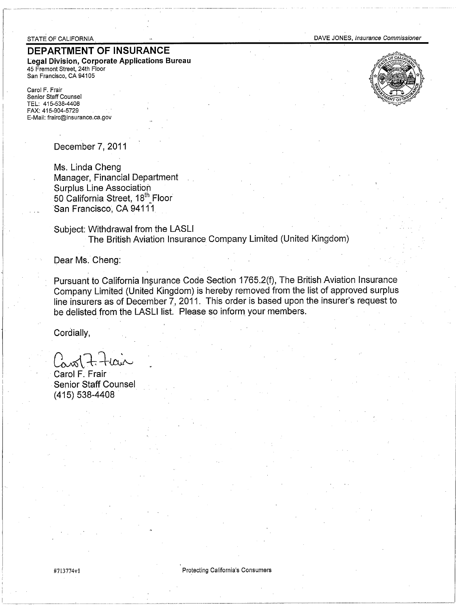#### STATE OF CALIFORNIA

# **DEPARTMENT OF INSURANCE**

Legal Division, Corporate Applications Bureau 45 Fremont Street, 24th Floor San Francisco, CA 94105

Carol F. Frair Senior Staff Counsel TEL: 415-538-4408 FAX: 415-904-5729 E-Mail: frairc@insurance.ca.gov

December 7, 2011

Ms. Linda Cheng Manager, Financial Department **Surplus Line Association** 50 California Street, 18th Floor San Francisco, CA 94111

Subject: Withdrawal from the LASLI The British Aviation Insurance Company Limited (United Kingdom)

Dear Ms. Cheng:

Pursuant to California Insurance Code Section 1765.2(f), The British Aviation Insurance Company Limited (United Kingdom) is hereby removed from the list of approved surplus line insurers as of December 7, 2011. This order is based upon the insurer's request to be delisted from the LASLI list. Please so inform your members.

Cordially,

Carol F. Frair **Senior Staff Counsel** (415) 538-4408





#713774v1

Protecting California's Consumers